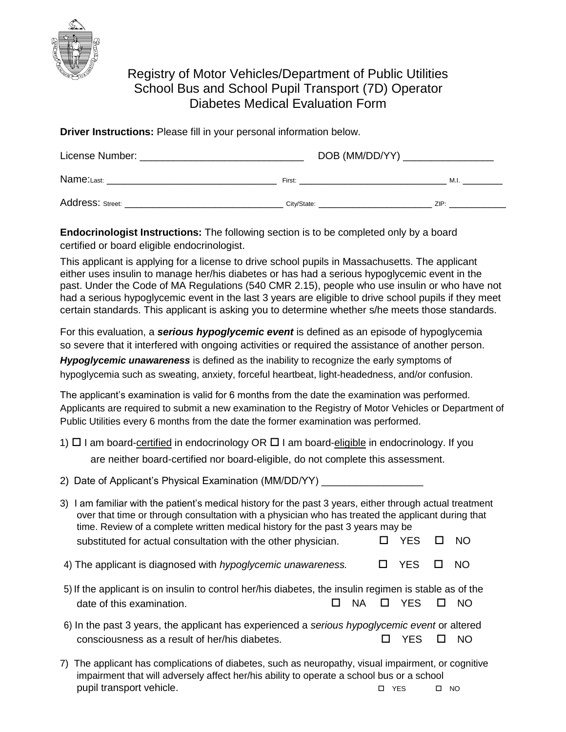

## Registry of Motor Vehicles/Department of Public Utilities School Bus and School Pupil Transport (7D) Operator Diabetes Medical Evaluation Form

**Driver Instructions:** Please fill in your personal information below.

| License Number:  | DOB (MM/DD/YY) |      |
|------------------|----------------|------|
| Name:Last:       | First:         | M.I  |
| Address: Street: | City/State:    | ZIP: |

**Endocrinologist Instructions:** The following section is to be completed only by a board certified or board eligible endocrinologist.

This applicant is applying for a license to drive school pupils in Massachusetts. The applicant either uses insulin to manage her/his diabetes or has had a serious hypoglycemic event in the past. Under the Code of MA Regulations (540 CMR 2.15), people who use insulin or who have not had a serious hypoglycemic event in the last 3 years are eligible to drive school pupils if they meet certain standards. This applicant is asking you to determine whether s/he meets those standards.

For this evaluation, a *serious hypoglycemic event* is defined as an episode of hypoglycemia so severe that it interfered with ongoing activities or required the assistance of another person.

*Hypoglycemic unawareness* is defined as the inability to recognize the early symptoms of hypoglycemia such as sweating, anxiety, forceful heartbeat, light-headedness, and/or confusion.

The applicant's examination is valid for 6 months from the date the examination was performed. Applicants are required to submit a new examination to the Registry of Motor Vehicles or Department of Public Utilities every 6 months from the date the former examination was performed.

- 1)  $\Box$  I am board-certified in endocrinology OR  $\Box$  I am board-eligible in endocrinology. If you are neither board-certified nor board-eligible, do not complete this assessment.
- 2) Date of Applicant's Physical Examination (MM/DD/YY) \_\_\_\_\_\_\_\_\_\_\_\_\_\_\_\_\_\_\_\_\_\_\_\_\_
- 3) I am familiar with the patient's medical history for the past 3 years, either through actual treatment over that time or through consultation with a physician who has treated the applicant during that time. Review of a complete written medical history for the past 3 years may be substituted for actual consultation with the other physician.  $\Box$  YES  $\Box$  NO 4) The applicant is diagnosed with *hypoglycemic unawareness.*  $\Box$  YES  $\Box$  NO
- 5) If the applicant is on insulin to control her/his diabetes, the insulin regimen is stable as of the date of this examination.  $\Box$  NA  $\Box$  YES  $\Box$  NO
- 6) In the past 3 years, the applicant has experienced a *serious hypoglycemic event* or altered consciousness as a result of her/his diabetes.  $\Box$  YES  $\Box$  NO
- 7) The applicant has complications of diabetes, such as neuropathy, visual impairment, or cognitive impairment that will adversely affect her/his ability to operate a school bus or a school pupil transport vehicle. The set of the set of the set of the set of the set of the set of the set of the set o